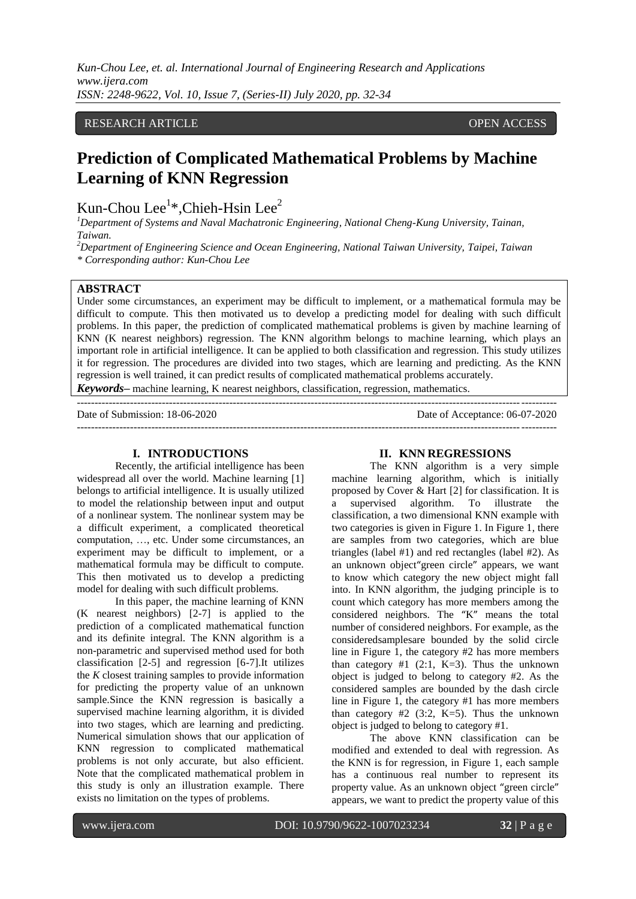*Kun-Chou Lee, et. al. International Journal of Engineering Research and Applications www.ijera.com ISSN: 2248-9622, Vol. 10, Issue 7, (Series-II) July 2020, pp. 32-34*

## RESEARCH ARTICLE OPEN ACCESS

# **Prediction of Complicated Mathematical Problems by Machine Learning of KNN Regression**

Kun-Chou Lee<sup>1</sup>\*, Chieh-Hsin Lee<sup>2</sup>

*<sup>1</sup>Department of Systems and Naval Machatronic Engineering, National Cheng-Kung University, Tainan, Taiwan.*

*<sup>2</sup>Department of Engineering Science and Ocean Engineering, National Taiwan University, Taipei, Taiwan \* Corresponding author: Kun-Chou Lee*

## **ABSTRACT**

Under some circumstances, an experiment may be difficult to implement, or a mathematical formula may be difficult to compute. This then motivated us to develop a predicting model for dealing with such difficult problems. In this paper, the prediction of complicated mathematical problems is given by machine learning of KNN (K nearest neighbors) regression. The KNN algorithm belongs to machine learning, which plays an important role in artificial intelligence. It can be applied to both classification and regression. This study utilizes it for regression. The procedures are divided into two stages, which are learning and predicting. As the KNN regression is well trained, it can predict results of complicated mathematical problems accurately. *Keywords***–** machine learning, K nearest neighbors, classification, regression, mathematics.

---------------------------------------------------------------------------------------------------------------------------------------

Date of Submission: 18-06-2020 Date of Acceptance: 06-07-2020 ---------------------------------------------------------------------------------------------------------------------------------------

### **I. INTRODUCTIONS**

Recently, the artificial intelligence has been widespread all over the world. Machine learning [1] belongs to artificial intelligence. It is usually utilized to model the relationship between input and output of a nonlinear system. The nonlinear system may be a difficult experiment, a complicated theoretical computation, …, etc. Under some circumstances, an experiment may be difficult to implement, or a mathematical formula may be difficult to compute. This then motivated us to develop a predicting model for dealing with such difficult problems.

In this paper, the machine learning of KNN (K nearest neighbors) [2-7] is applied to the prediction of a complicated mathematical function and its definite integral. The KNN algorithm is a non-parametric and supervised method used for both classification [2-5] and regression [6-7].It utilizes the *K* closest training samples to provide information for predicting the property value of an unknown sample.Since the KNN regression is basically a supervised machine learning algorithm, it is divided into two stages, which are learning and predicting. Numerical simulation shows that our application of KNN regression to complicated mathematical problems is not only accurate, but also efficient. Note that the complicated mathematical problem in this study is only an illustration example. There exists no limitation on the types of problems.

#### **II. KNN REGRESSIONS**

The KNN algorithm is a very simple machine learning algorithm, which is initially proposed by Cover & Hart [2] for classification. It is a supervised algorithm. To illustrate the classification, a two dimensional KNN example with two categories is given in Figure 1. In Figure 1, there are samples from two categories, which are blue triangles (label #1) and red rectangles (label #2). As an unknown object"green circle" appears, we want to know which category the new object might fall into. In KNN algorithm, the judging principle is to count which category has more members among the considered neighbors. The "K" means the total number of considered neighbors. For example, as the consideredsamplesare bounded by the solid circle line in Figure 1, the category #2 has more members than category #1  $(2:1, K=3)$ . Thus the unknown object is judged to belong to category #2. As the considered samples are bounded by the dash circle line in Figure 1, the category #1 has more members than category  $#2$  (3:2, K=5). Thus the unknown object is judged to belong to category #1.

The above KNN classification can be modified and extended to deal with regression. As the KNN is for regression, in Figure 1, each sample has a continuous real number to represent its property value. As an unknown object "green circle" appears, we want to predict the property value of this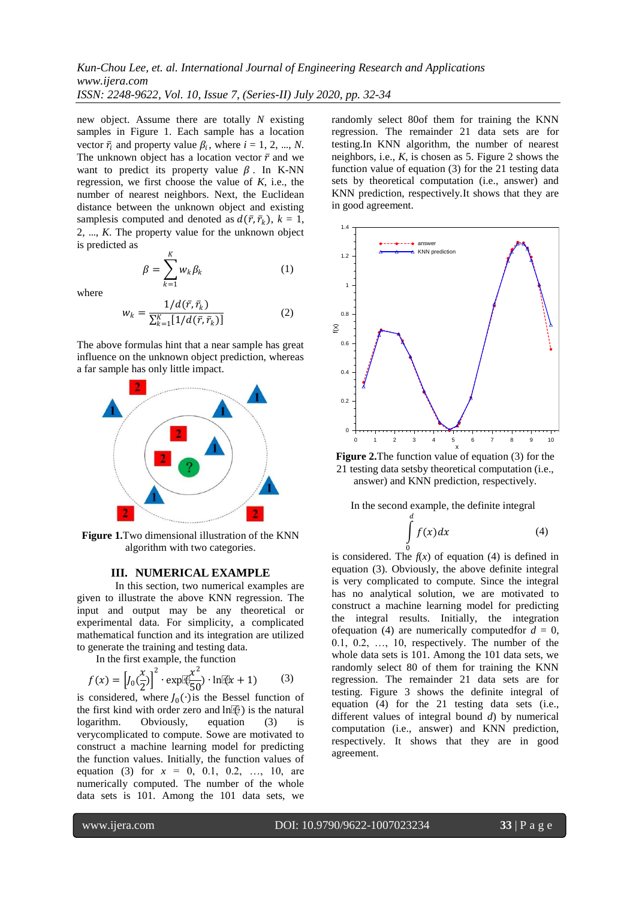new object. Assume there are totally *N* existing samples in Figure 1. Each sample has a location vector  $\bar{r}_i$  and property value  $\beta_i$ , where  $i = 1, 2, ..., N$ . The unknown object has a location vector  $\bar{r}$  and we want to predict its property value  $\beta$ . In K-NN regression, we first choose the value of  $K$ , i.e., the number of nearest neighbors. Next, the Euclidean distance between the unknown object and existing samplesis computed and denoted as  $d(\bar{r}, \bar{r}_k)$ ,  $k = 1$ , 2, …, *K*. The property value for the unknown object is predicted as

$$
\beta = \sum_{k=1}^{K} w_k \beta_k \tag{1}
$$

where

$$
w_k = \frac{1/d(\bar{r}, \bar{r}_k)}{\sum_{k=1}^{K} [1/d(\bar{r}, \bar{r}_k)]}
$$
(2)

The above formulas hint that a near sample has great influence on the unknown object prediction, whereas a far sample has only little impact.



**Figure 1.**Two dimensional illustration of the KNN algorithm with two categories.

#### **III. NUMERICAL EXAMPLE**

In this section, two numerical examples are given to illustrate the above KNN regression. The input and output may be any theoretical or experimental data. For simplicity, a complicated mathematical function and its integration are utilized to generate the training and testing data.

In the first example, the function

$$
f(x) = \left[ J_0 \left( \frac{x}{2} \right) \right]^2 \cdot \exp\left[ \frac{x^2}{50} \right) \cdot \ln[\left( \frac{x}{2} + 1 \right) \tag{3}
$$

is considered, where  $J_0(\cdot)$  is the Bessel function of the first kind with order zero and ln $(E)$  is the natural logarithm. Obviously, equation (3) is verycomplicated to compute. Sowe are motivated to construct a machine learning model for predicting the function values. Initially, the function values of equation (3) for *x* = 0, 0.1, 0.2, …, 10, are numerically computed. The number of the whole data sets is 101. Among the 101 data sets, we

randomly select 80of them for training the KNN regression. The remainder 21 data sets are for testing.In KNN algorithm, the number of nearest neighbors, i.e., *K*, is chosen as 5. Figure 2 shows the function value of equation (3) for the 21 testing data sets by theoretical computation (i.e., answer) and KNN prediction, respectively.It shows that they are in good agreement.



**Figure 2.**The function value of equation (3) for the 21 testing data setsby theoretical computation (i.e., answer) and KNN prediction, respectively.

In the second example, the definite integral

$$
\int\limits_{0}^{d} f(x)dx
$$
 (4)

is considered. The  $f(x)$  of equation (4) is defined in equation (3). Obviously, the above definite integral is very complicated to compute. Since the integral has no analytical solution, we are motivated to construct a machine learning model for predicting the integral results. Initially, the integration of equation (4) are numerically computed for  $d = 0$ , 0.1, 0.2, …, 10, respectively. The number of the whole data sets is 101. Among the 101 data sets, we randomly select 80 of them for training the KNN regression. The remainder 21 data sets are for testing. Figure 3 shows the definite integral of equation (4) for the 21 testing data sets (i.e., different values of integral bound *d*) by numerical computation (i.e., answer) and KNN prediction, respectively. It shows that they are in good agreement.